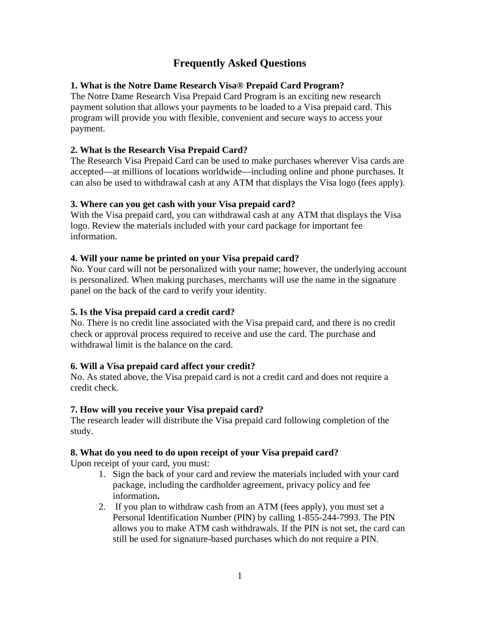# **Frequently Asked Questions**

## **1. What is the Notre Dame Research Visa® Prepaid Card Program?**

The Notre Dame Research Visa Prepaid Card Program is an exciting new research payment solution that allows your payments to be loaded to a Visa prepaid card. This program will provide you with flexible, convenient and secure ways to access your payment.

## **2. What is the Research Visa Prepaid Card?**

The Research Visa Prepaid Card can be used to make purchases wherever Visa cards are accepted—at millions of locations worldwide—including online and phone purchases. It can also be used to withdrawal cash at any ATM that displays the Visa logo (fees apply).

## **3. Where can you get cash with your Visa prepaid card?**

With the Visa prepaid card, you can withdrawal cash at any ATM that displays the Visa logo. Review the materials included with your card package for important fee information.

## **4. Will your name be printed on your Visa prepaid card?**

No. Your card will not be personalized with your name; however, the underlying account is personalized. When making purchases, merchants will use the name in the signature panel on the back of the card to verify your identity.

## **5. Is the Visa prepaid card a credit card?**

No. There is no credit line associated with the Visa prepaid card, and there is no credit check or approval process required to receive and use the card. The purchase and withdrawal limit is the balance on the card.

## **6. Will a Visa prepaid card affect your credit?**

No. As stated above, the Visa prepaid card is not a credit card and does not require a credit check.

## **7. How will you receive your Visa prepaid card?**

The research leader will distribute the Visa prepaid card following completion of the study.

## **8. What do you need to do upon receipt of your Visa prepaid card?**

Upon receipt of your card, you must:

- 1. Sign the back of your card and review the materials included with your card package, including the cardholder agreement, privacy policy and fee information**.**
- 2. If you plan to withdraw cash from an ATM (fees apply), you must set a Personal Identification Number (PIN) by calling 1-855-244-7993. The PIN allows you to make ATM cash withdrawals. If the PIN is not set, the card can still be used for signature-based purchases which do not require a PIN.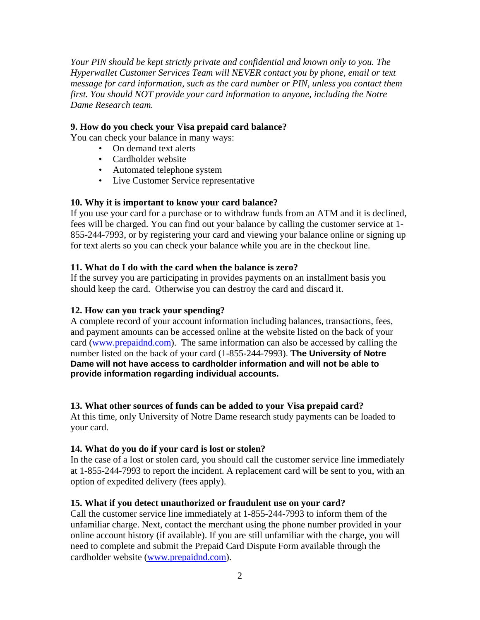*Your PIN should be kept strictly private and confidential and known only to you. The Hyperwallet Customer Services Team will NEVER contact you by phone, email or text message for card information, such as the card number or PIN, unless you contact them first. You should NOT provide your card information to anyone, including the Notre Dame Research team.* 

#### **9. How do you check your Visa prepaid card balance?**

You can check your balance in many ways:

- On demand text alerts
- Cardholder website
- Automated telephone system
- Live Customer Service representative

#### **10. Why it is important to know your card balance?**

If you use your card for a purchase or to withdraw funds from an ATM and it is declined, fees will be charged. You can find out your balance by calling the customer service at 1- 855-244-7993, or by registering your card and viewing your balance online or signing up for text alerts so you can check your balance while you are in the checkout line.

#### **11. What do I do with the card when the balance is zero?**

If the survey you are participating in provides payments on an installment basis you should keep the card. Otherwise you can destroy the card and discard it.

#### **12. How can you track your spending?**

A complete record of your account information including balances, transactions, fees, and payment amounts can be accessed online at the website listed on the back of your card (www.prepaidnd.com). The same information can also be accessed by calling the number listed on the back of your card (1-855-244-7993). **The University of Notre Dame will not have access to cardholder information and will not be able to provide information regarding individual accounts.** 

#### **13. What other sources of funds can be added to your Visa prepaid card?**

At this time, only University of Notre Dame research study payments can be loaded to your card.

#### **14. What do you do if your card is lost or stolen?**

In the case of a lost or stolen card, you should call the customer service line immediately at 1-855-244-7993 to report the incident. A replacement card will be sent to you, with an option of expedited delivery (fees apply).

#### **15. What if you detect unauthorized or fraudulent use on your card?**

Call the customer service line immediately at 1-855-244-7993 to inform them of the unfamiliar charge. Next, contact the merchant using the phone number provided in your online account history (if available). If you are still unfamiliar with the charge, you will need to complete and submit the Prepaid Card Dispute Form available through the cardholder website (www.prepaidnd.com).